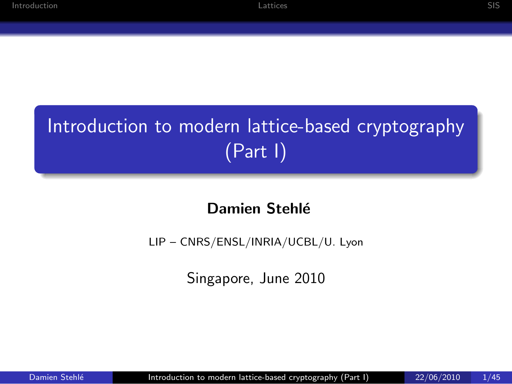## Introduction to modern lattice-based cryptography (Part I)

#### Damien Stehlé

LIP – CNRS/ENSL/INRIA/UCBL/U. Lyon

<span id="page-0-0"></span>Singapore, June 2010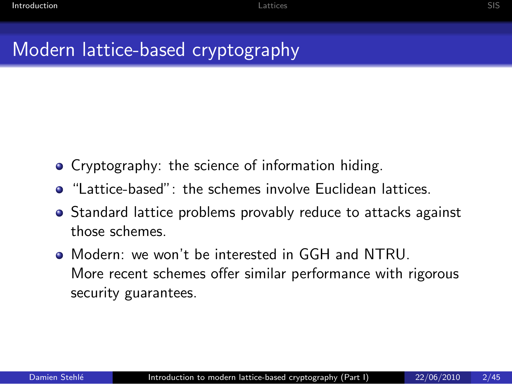#### Modern lattice-based cryptography

- Cryptography: the science of information hiding.
- **•** "Lattice-based": the schemes involve Euclidean lattices.
- Standard lattice problems provably reduce to attacks against those schemes.
- <span id="page-1-0"></span>Modern: we won't be interested in GGH and NTRU. More recent schemes offer similar performance with rigorous security guarantees.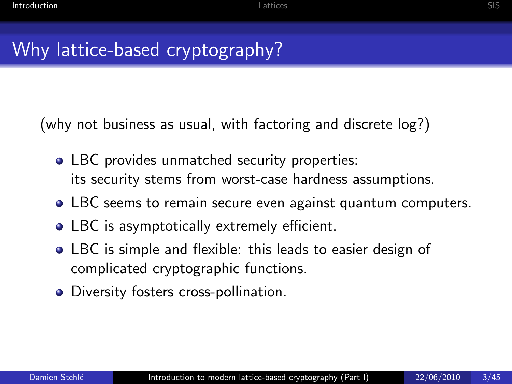## Why lattice-based cryptography?

(why not business as usual, with factoring and discrete log?)

- LBC provides unmatched security properties: its security stems from worst-case hardness assumptions.
- LBC seems to remain secure even against quantum computers.
- LBC is asymptotically extremely efficient.
- LBC is simple and flexible: this leads to easier design of complicated cryptographic functions.
- Diversity fosters cross-pollination.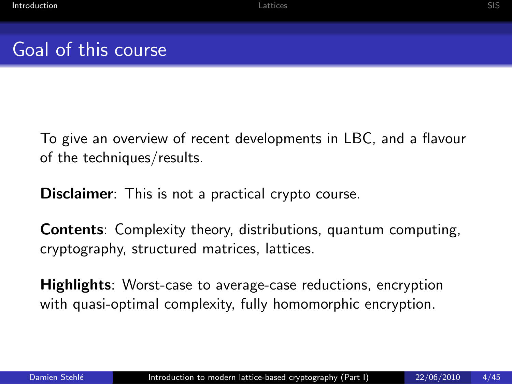### Goal of this course

To give an overview of recent developments in LBC, and a flavour of the techniques/results.

**Disclaimer:** This is not a practical crypto course.

Contents: Complexity theory, distributions, quantum computing, cryptography, structured matrices, lattices.

Highlights: Worst-case to average-case reductions, encryption with quasi-optimal complexity, fully homomorphic encryption.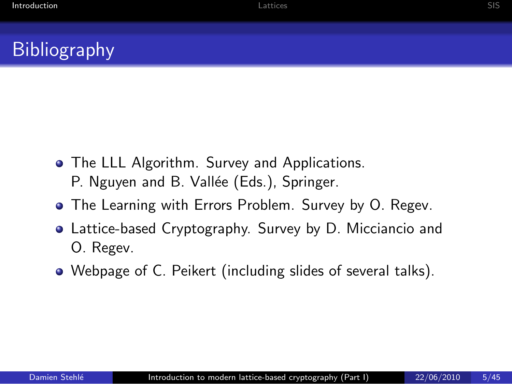## **Bibliography**

- **•** The LLL Algorithm. Survey and Applications. P. Nguyen and B. Vallée (Eds.), Springer.
- The Learning with Errors Problem. Survey by O. Regev.
- Lattice-based Cryptography. Survey by D. Micciancio and O. Regev.
- Webpage of C. Peikert (including slides of several talks).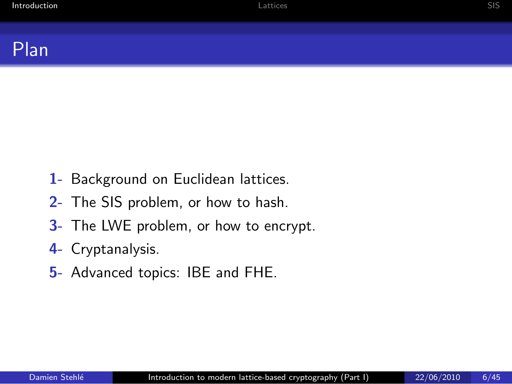#### Plan

- 1- Background on Euclidean lattices.
- 2- The SIS problem, or how to hash.
- 3- The LWE problem, or how to encrypt.
- 4- Cryptanalysis.
- 5- Advanced topics: IBE and FHE.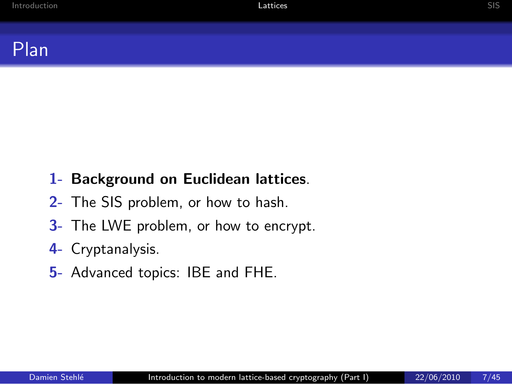

#### 1- Background on Euclidean lattices.

- 2- The SIS problem, or how to hash.
- 3- The LWE problem, or how to encrypt.

#### 4- Cryptanalysis.

<span id="page-6-0"></span>5- Advanced topics: IBE and FHE.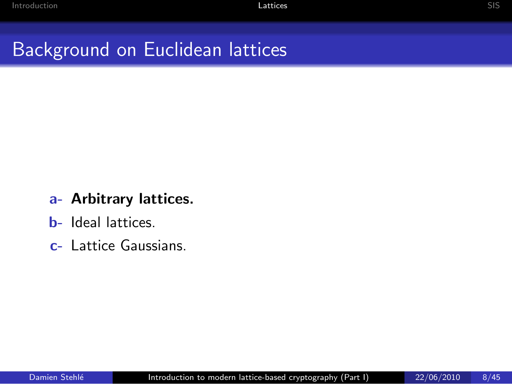## Background on Euclidean lattices

#### a- Arbitrary lattices.

- b- Ideal lattices.
- c- Lattice Gaussians.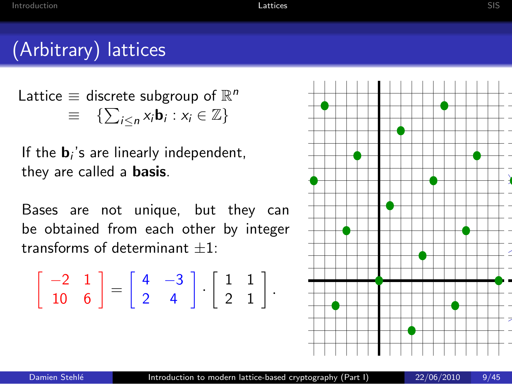#### (Arbitrary) lattices

Lattice  $\equiv$  discrete subgroup of  $\mathbb{R}^n$  $\equiv \{ \sum_{i \leq n} x_i \mathbf{b}_i : x_i \in \mathbb{Z} \}$ 

If the  $\mathbf{b}_i$ 's are linearly independent, they are called a basis.

Bases are not unique, but they can be obtained from each other by integer transforms of determinant  $+1$ 

$$
\left[\begin{array}{cc} -2 & 1 \\ 10 & 6 \end{array}\right] = \left[\begin{array}{cc} 4 & -3 \\ 2 & 4 \end{array}\right] \cdot \left[\begin{array}{cc} 1 & 1 \\ 2 & 1 \end{array}\right].
$$

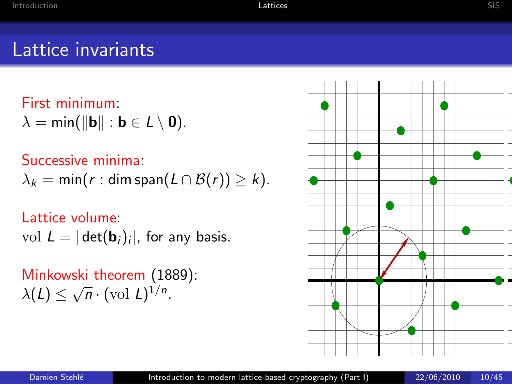#### Lattice invariants

First minimum:  $\lambda = \min(\|\mathbf{b}\| : \mathbf{b} \in L \setminus \mathbf{0}).$ 

#### Successive minima:

$$
\lambda_k = \min(r : \dim \text{span}(L \cap \mathcal{B}(r)) \geq k).
$$

#### Lattice volume:

vol  $L = |\det(\mathbf{b}_i)_i|$ , for any basis.

Minkowski theorem (1889):  $\lambda(L) \leq \sqrt{n} \cdot (\text{vol } L)^{1/n}.$ 

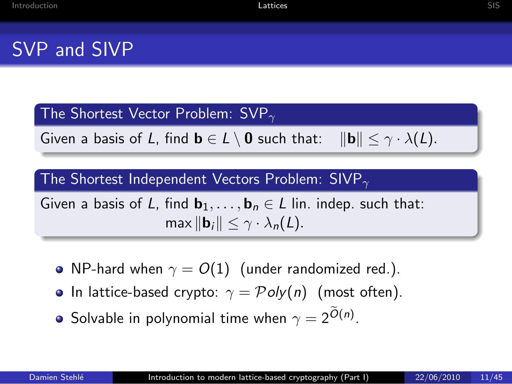The Shortest Vector Problem:  $SVP_{\gamma}$ 

Given a basis of L, find  $\mathbf{b} \in L \setminus \mathbf{0}$  such that:  $\|\mathbf{b}\| \leq \gamma \cdot \lambda(L)$ .

The Shortest Independent Vectors Problem: SIVP $_{\gamma}$ 

Given a basis of L, find  $\mathbf{b}_1, \ldots, \mathbf{b}_n \in L$  lin. indep. such that: max  $\|\mathbf{b}_i\| < \gamma \cdot \lambda_n(L)$ .

- NP-hard when  $\gamma = O(1)$  (under randomized red.).
- **•** In lattice-based crypto:  $\gamma = \mathcal{P}oly(n)$  (most often).
- Solvable in polynomial time when  $\gamma=2^{\widetilde{O}(n)}.$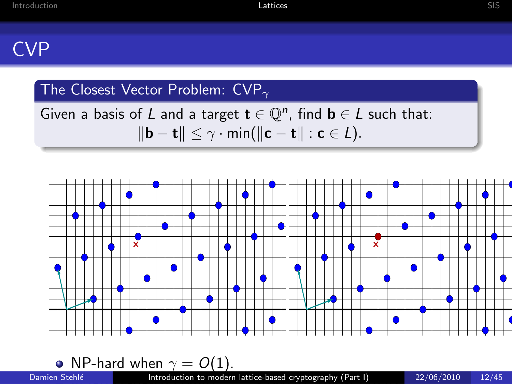#### The Closest Vector Problem:  $CVP_{\gamma}$

Given a basis of L and a target  $\mathbf{t} \in \mathbb{Q}^n$ , find  $\mathbf{b} \in L$  such that:  $\|\mathbf{b} - \mathbf{t}\| \leq \gamma \cdot \min(\|\mathbf{c} - \mathbf{t}\| : \mathbf{c} \in L).$ 

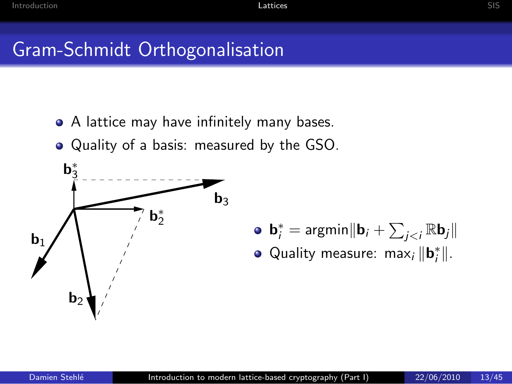#### Gram-Schmidt Orthogonalisation

- A lattice may have infinitely many bases.
- Quality of a basis: measured by the GSO.



- $\mathbf{b}_i^* = \text{argmin} \Vert \mathbf{b}_i + \sum_{j < i} \mathbb{R} \mathbf{b}_j \Vert$
- Quality measure: max<sub>i</sub>  $\|\mathbf{b}_i^*\|$ .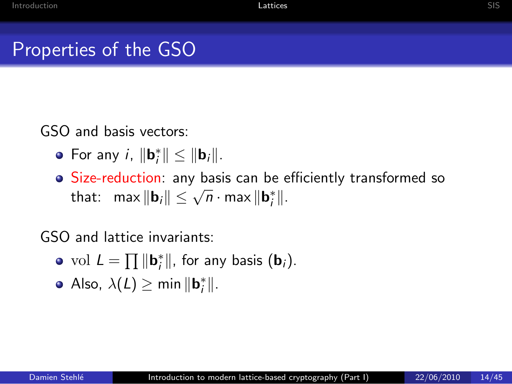#### Properties of the GSO

GSO and basis vectors:

- For any i,  $\|\mathbf{b}_i^*\| \leq \|\mathbf{b}_i\|.$
- Size-reduction: any basis can be efficiently transformed so that:  $\max \|\mathbf{b}_i\| \leq \sqrt{n} \cdot \max \|\mathbf{b}_i^*\|.$

GSO and lattice invariants:

- vol  $L = \prod ||\mathbf{b}_i^*||$ , for any basis  $(\mathbf{b}_i)$ .
- Also,  $\lambda(L) \geq \min \| \mathbf{b}_{i}^{*} \|$ .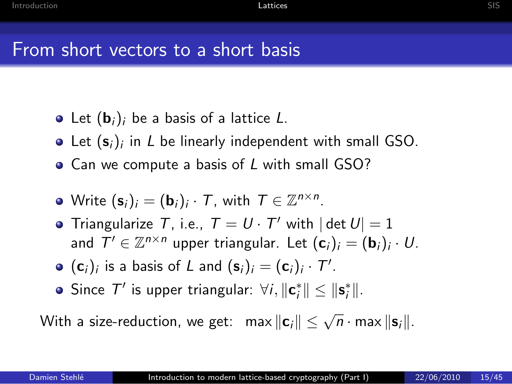- Let  $(\mathbf{b}_i)_i$  be a basis of a lattice L.
- Let  $(\mathbf{s}_i)_i$  in L be linearly independent with small GSO.
- Can we compute a basis of L with small GSO?
- Write  $(\mathbf{s}_i)_i = (\mathbf{b}_i)_i \cdot \mathcal{T}$ , with  $\mathcal{T} \in \mathbb{Z}^{n \times n}$ .
- Triangularize T, i.e.,  $T = U \cdot T'$  with  $|\det U| = 1$ and  $\mathcal{T}' \in \mathbb{Z}^{n \times n}$  upper triangular. Let  $(\mathbf{c}_i)_i = (\mathbf{b}_i)_i \cdot U$ .
- $(\mathbf{c}_i)_i$  is a basis of L and  $(\mathbf{s}_i)_i = (\mathbf{c}_i)_i \cdot \mathcal{T}'$ .
- Since  $\mathcal{T}'$  is upper triangular:  $\forall i, \|\mathbf{c}_i^*\| \leq \|\mathbf{s}_i^*\|.$

With a size-reduction, we get:  $\|\mathbf{c}_i\| \leq \sqrt{n} \cdot \max \|\mathbf{s}_i\|.$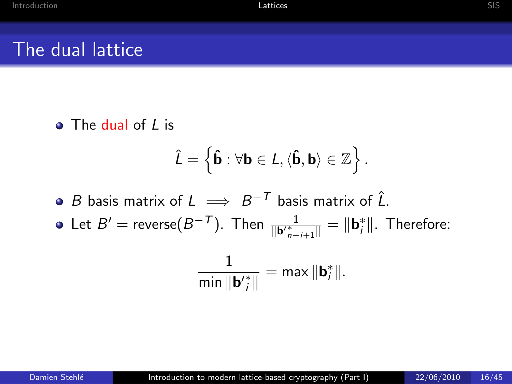$\bullet$  The dual of L is

$$
\hat{L} = \left\{ \hat{\mathbf{b}} : \forall \mathbf{b} \in L, \langle \hat{\mathbf{b}}, \mathbf{b} \rangle \in \mathbb{Z} \right\}.
$$

- B basis matrix of  $L \implies B^{-T}$  basis matrix of  $\hat{L}$ .
- Let  $B' = \text{reverse}(B^{-T})$ . Then  $\frac{1}{\| \mathbf{b'}_{{n-i+1}}^*\|} = \| \mathbf{b}_i^*\|$ . Therefore:

$$
\frac{1}{\min \|\mathbf{b}'_i^*\|} = \max \|\mathbf{b}_i^*\|.
$$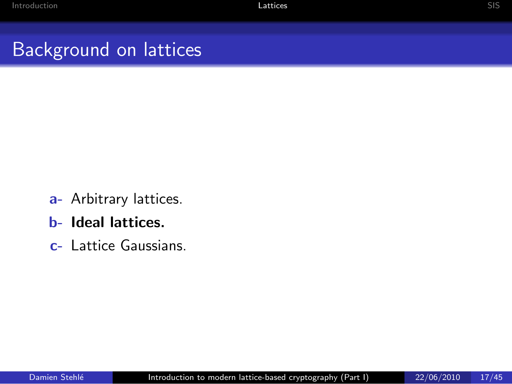## Background on lattices

- a- Arbitrary lattices.
- b- Ideal lattices.
- c- Lattice Gaussians.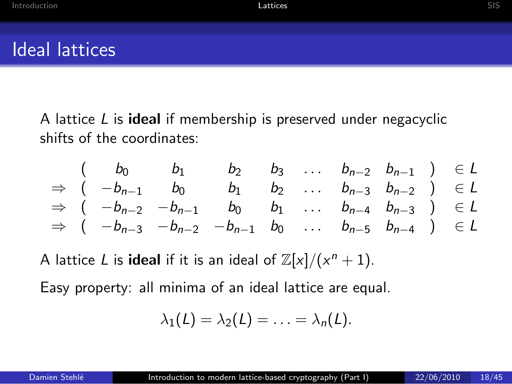A lattice  $L$  is ideal if membership is preserved under negacyclic shifts of the coordinates:

$$
\begin{array}{ccccccccc}\n & ( & b_0 & b_1 & b_2 & b_3 & \dots & b_{n-2} & b_{n-1} & ) & \in L \\
\Rightarrow & ( & -b_{n-1} & b_0 & b_1 & b_2 & \dots & b_{n-3} & b_{n-2} & ) & \in L \\
\Rightarrow & ( & -b_{n-2} & -b_{n-1} & b_0 & b_1 & \dots & b_{n-4} & b_{n-3} & ) & \in L \\
\Rightarrow & ( & -b_{n-3} & -b_{n-2} & -b_{n-1} & b_0 & \dots & b_{n-5} & b_{n-4} & ) & \in L\n\end{array}
$$

A lattice L is **ideal** if it is an ideal of  $\mathbb{Z}[x]/(x^n + 1)$ .

Easy property: all minima of an ideal lattice are equal.

$$
\lambda_1(L)=\lambda_2(L)=\ldots=\lambda_n(L).
$$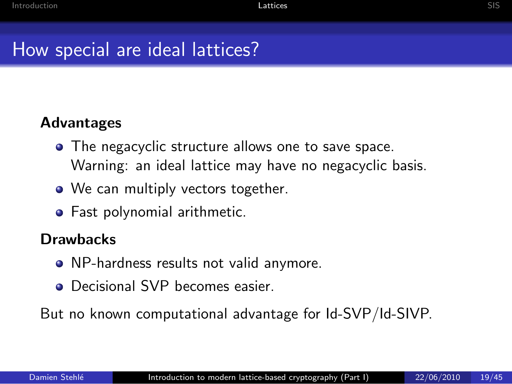#### Advantages

- The negacyclic structure allows one to save space. Warning: an ideal lattice may have no negacyclic basis.
- We can multiply vectors together.
- **•** Fast polynomial arithmetic.

#### **Drawbacks**

- NP-hardness results not valid anymore.
- **O** Decisional SVP becomes easier.

But no known computational advantage for Id-SVP/Id-SIVP.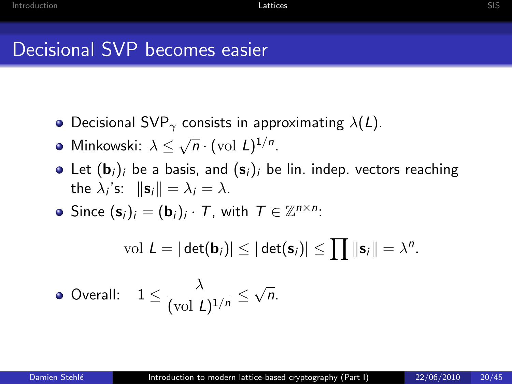- Decisional SVP<sub>γ</sub> consists in approximating  $\lambda(L)$ .
- Minkowski:  $\lambda \leq \sqrt{n} \cdot (\text{vol } L)^{1/n}$ .
- Let  $(\mathbf{b}_i)_i$  be a basis, and  $(\mathbf{s}_i)_i$  be lin. indep. vectors reaching the  $\lambda_i$ 's:  $\|\mathbf{s}_i\| = \lambda_i = \lambda$ .
- Since  $(\mathbf{s}_i)_i = (\mathbf{b}_i)_i \cdot \mathcal{T}$ , with  $\mathcal{T} \in \mathbb{Z}^{n \times n}$ :

 $\text{vol } L = |\det(\mathbf{b}_i)| \leq |\det(\mathbf{s}_i)| \leq \prod ||\mathbf{s}_i|| = \lambda^n.$ 

• Overall: 
$$
1 \le \frac{\lambda}{(\text{vol } L)^{1/n}} \le \sqrt{n}
$$
.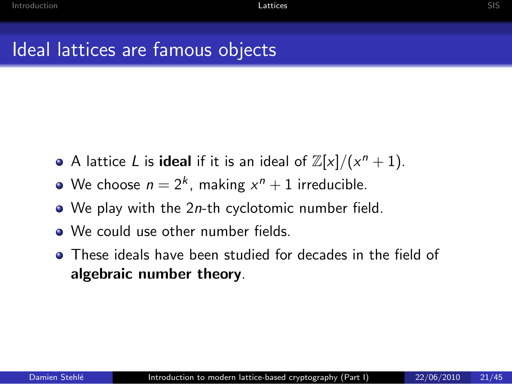- A lattice L is **ideal** if it is an ideal of  $\mathbb{Z}[x]/(x^n + 1)$ .
- We choose  $n = 2^k$ , making  $x^n + 1$  irreducible.
- $\bullet$  We play with the 2*n*-th cyclotomic number field.
- **We could use other number fields**
- These ideals have been studied for decades in the field of algebraic number theory.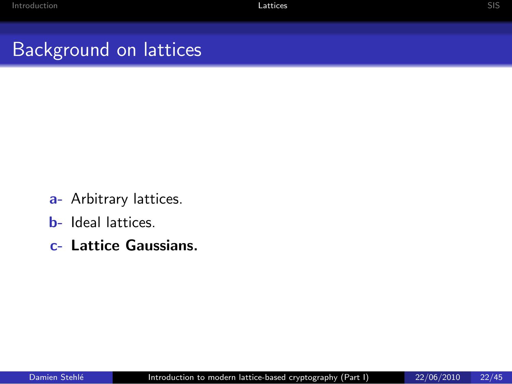## Background on lattices

- a- Arbitrary lattices.
- b- Ideal lattices.
- c- Lattice Gaussians.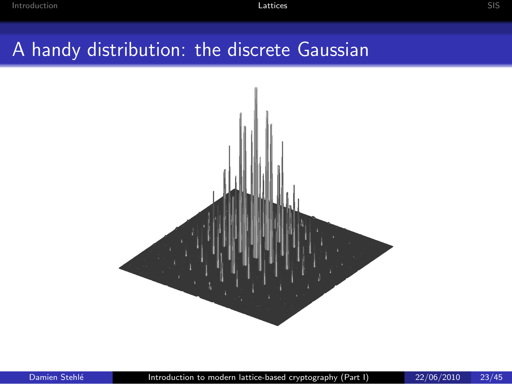## A handy distribution: the discrete Gaussian

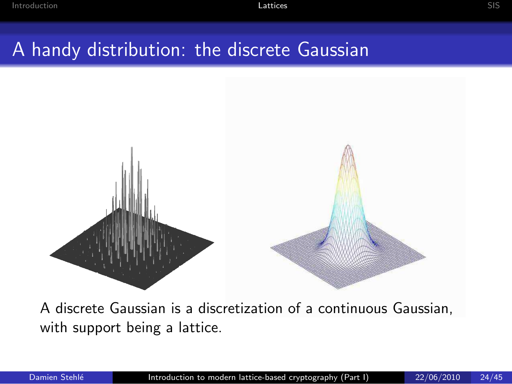## A handy distribution: the discrete Gaussian



A discrete Gaussian is a discretization of a continuous Gaussian, with support being a lattice.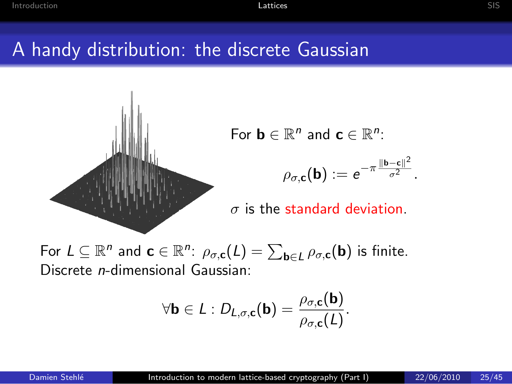### A handy distribution: the discrete Gaussian



For  $\mathbf{b} \in \mathbb{R}^n$  and  $\mathbf{c} \in \mathbb{R}^n$ :

$$
\rho_{\sigma,\mathbf{c}}(\mathbf{b}):=e^{-\pi\frac{\|\mathbf{b}-\mathbf{c}\|^2}{\sigma^2}}.
$$

 $\sigma$  is the standard deviation.

For  $L \subseteq \mathbb{R}^n$  and  $\mathbf{c} \in \mathbb{R}^n$ :  $\rho_{\sigma, \mathbf{c}}(L) = \sum_{\mathbf{b} \in L} \rho_{\sigma, \mathbf{c}}(\mathbf{b})$  is finite. Discrete n-dimensional Gaussian:

$$
\forall \mathbf{b} \in L : D_{L,\sigma,\mathbf{c}}(\mathbf{b}) = \frac{\rho_{\sigma,\mathbf{c}}(\mathbf{b})}{\rho_{\sigma,\mathbf{c}}(L)}.
$$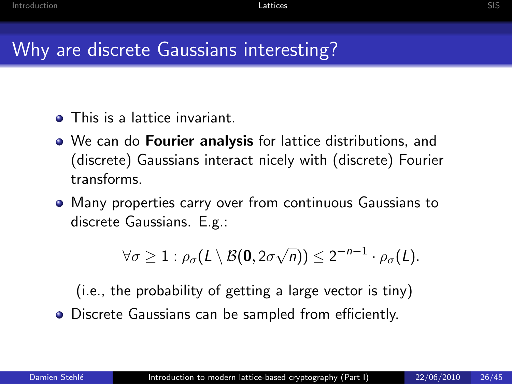- **•** This is a lattice invariant.
- We can do **Fourier analysis** for lattice distributions, and (discrete) Gaussians interact nicely with (discrete) Fourier transforms.
- Many properties carry over from continuous Gaussians to discrete Gaussians. E.g.:

$$
\forall \sigma \geq 1 : \rho_{\sigma}(L \setminus \mathcal{B}(\mathbf{0}, 2\sigma\sqrt{n})) \leq 2^{-n-1} \cdot \rho_{\sigma}(L).
$$

(i.e., the probability of getting a large vector is tiny)

Discrete Gaussians can be sampled from efficiently.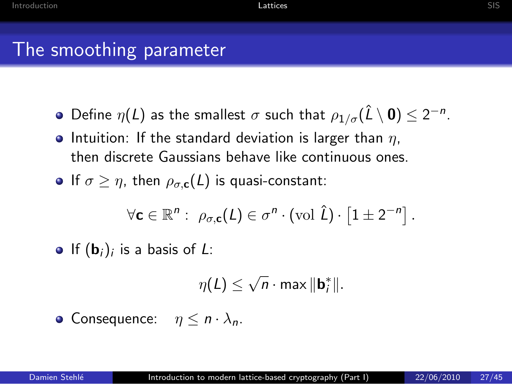- Define  $\eta(L)$  as the smallest  $\sigma$  such that  $\rho_{1/\sigma}(\hat{L}\setminus{\bf 0})\leq 2^{-n}.$
- Intuition: If the standard deviation is larger than  $\eta$ , then discrete Gaussians behave like continuous ones.
- If  $\sigma > \eta$ , then  $\rho_{\sigma, \sigma}(L)$  is quasi-constant:

$$
\forall \mathbf{c} \in \mathbb{R}^n: \ \rho_{\sigma, \mathbf{c}}(L) \in \sigma^n \cdot \text{(vol } \hat{L}) \cdot \left[1 \pm 2^{-n}\right].
$$

If  $(\mathbf{b}_i)_i$  is a basis of L:

$$
\eta(L) \leq \sqrt{n} \cdot \max \|\mathbf{b}_i^*\|.
$$

• Consequence: 
$$
\eta \leq n \cdot \lambda_n
$$
.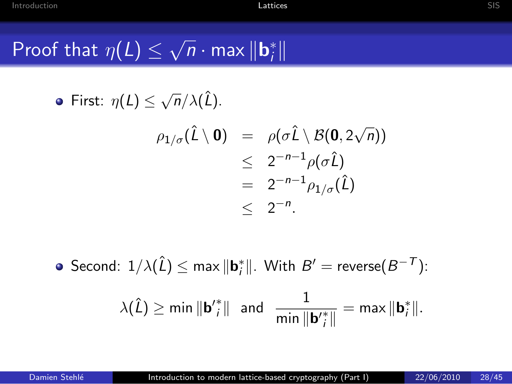# Proof that  $\eta(L) \leq \sqrt{n} \cdot \max \| \mathbf{b}_{i}^* \|$

• First: 
$$
\eta(L) \leq \sqrt{n}/\lambda(\hat{L})
$$
.

$$
\rho_{1/\sigma}(\hat{L}\setminus 0) = \rho(\sigma \hat{L}\setminus \mathcal{B}(0, 2\sqrt{n}))
$$
  
\n
$$
\leq 2^{-n-1} \rho(\sigma \hat{L})
$$
  
\n
$$
= 2^{-n-1} \rho_{1/\sigma}(\hat{L})
$$
  
\n
$$
\leq 2^{-n}.
$$

Second:  $1/\lambda(\hat{L}) \leq \max \|\mathbf{b}_{i}^{*}\|$ . With  $B' = \text{reverse}(B^{-T})$ :  $\lambda(\hat{L}) \geq \text{min} \|\mathbf{b}'_i^*\|$  and  $\frac{1}{\text{min} \|\mathbf{b}'_i^*\|} = \text{max} \|\mathbf{b}_i^*\|.$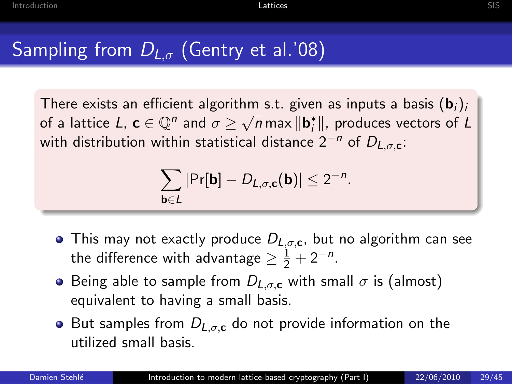### Sampling from  $D_{L,\sigma}$  (Gentry et al.'08)

There exists an efficient algorithm s.t. given as inputs a basis  $(b_i)_i$ of a lattice  $L$ ,  $\mathbf{c} \in \mathbb{Q}^n$  and  $\sigma \geq \sqrt{n} \max \|\mathbf{b}_i^*\|$ , produces vectors of  $L$ with distribution within statistical distance  $2^{-n}$  of  $D_{L,\sigma,c}$ :

$$
\sum_{\mathbf{b}\in L}|\Pr[\mathbf{b}]-D_{L,\sigma,\mathbf{c}}(\mathbf{b})|\leq 2^{-n}.
$$

- This may not exactly produce  $D_{\text{L},\sigma,\text{C}}$ , but no algorithm can see the difference with advantage  $\geq \frac{1}{2} + 2^{-n}$ .
- **•** Being able to sample from  $D_{L,\sigma,c}$  with small  $\sigma$  is (almost) equivalent to having a small basis.
- But samples from  $D_{L,\sigma,c}$  do not provide information on the utilized small basis.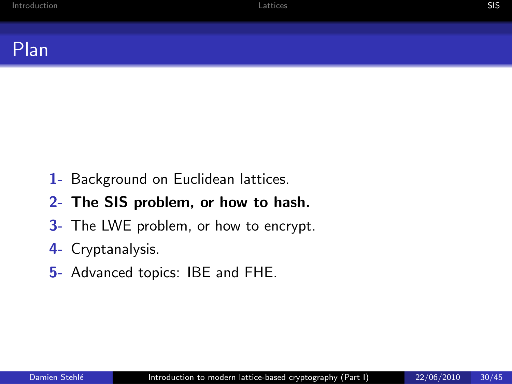

- 1- Background on Euclidean lattices.
- 2- The SIS problem, or how to hash.
- 3- The LWE problem, or how to encrypt.
- 4- Cryptanalysis.
- <span id="page-29-0"></span>5- Advanced topics: IBE and FHE.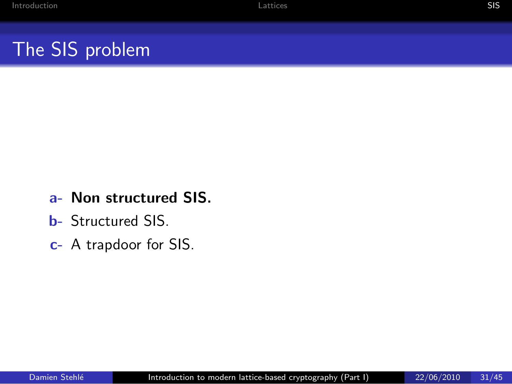## The SIS problem

#### a- Non structured SIS.

- b- Structured SIS.
- c- A trapdoor for SIS.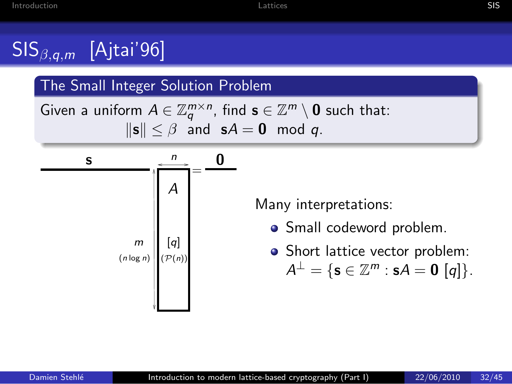## $\mathsf{SIS}_{\beta,a,m}$  [Ajtai'96]

#### The Small Integer Solution Problem

Given a uniform  $A \in \mathbb{Z}_q^{m \times n}$ , find  $\mathbf{s} \in \mathbb{Z}^m \setminus \mathbf{0}$  such that:  $\|\mathbf{s}\| \leq \beta$  and  $\mathbf{s}A = \mathbf{0}$  mod q.



Many interpretations:

- Small codeword problem.
- Short lattice vector problem:  $A^{\perp} = \{ \mathbf{s} \in \mathbb{Z}^m : \mathbf{s}A = \mathbf{0} \; [q] \}.$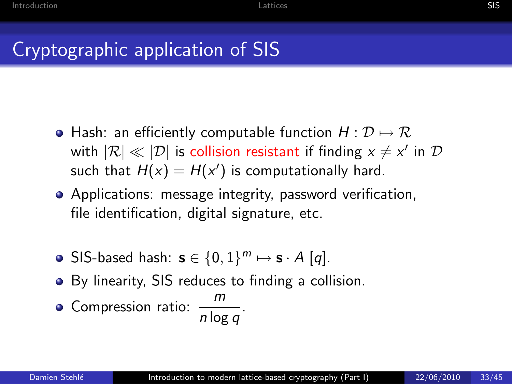- Hash: an efficiently computable function  $H: \mathcal{D} \mapsto \mathcal{R}$ with  $|\mathcal{R}| \ll |\mathcal{D}|$  is collision resistant if finding  $x \neq x'$  in  $\mathcal D$ such that  $H(x) = H(x')$  is computationally hard.
- Applications: message integrity, password verification, file identification, digital signature, etc.
- SIS-based hash:  $\mathbf{s} \in \{0,1\}^m \mapsto \mathbf{s} \cdot A$  [q].
- By linearity, SIS reduces to finding a collision.
- Compression ratio:  $\frac{m}{n \log q}$ .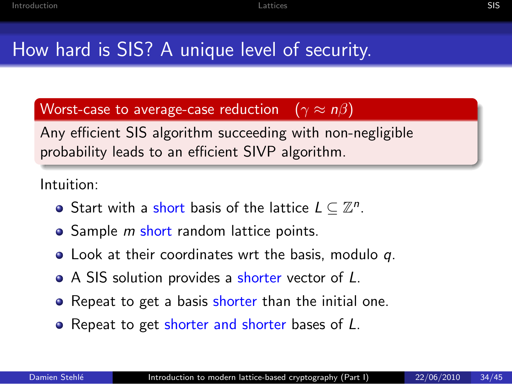## How hard is SIS? A unique level of security.

Worst-case to average-case reduction  $(\gamma \approx n\beta)$ 

Any efficient SIS algorithm succeeding with non-negligible probability leads to an efficient SIVP algorithm.

Intuition:

- Start with a short basis of the lattice  $L \subseteq \mathbb{Z}^n$ .
- Sample *m* short random lattice points.
- Look at their coordinates wrt the basis, modulo q.
- A SIS solution provides a shorter vector of L.
- Repeat to get a basis shorter than the initial one.
- Repeat to get shorter and shorter bases of L.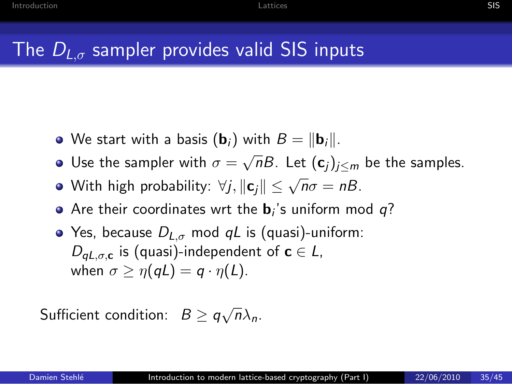## The  $D_{L,\sigma}$  sampler provides valid SIS inputs

- We start with a basis  $(\mathbf{b}_i)$  with  $B = ||\mathbf{b}_i||$ .
- Use the sampler with  $\sigma = \sqrt{n}B$ . Let  $(\mathbf{c}_j)_{j \leq m}$  be the samples.
- With high probability:  $\forall j, \|\mathbf{c}_j\| \leq \sqrt{n}\sigma = nB$ .
- Are their coordinates wrt the  $\mathbf{b}_i$ 's uniform mod  $q$ ?
- Yes, because  $D_{L,\sigma}$  mod qL is (quasi)-uniform:  $D_{\mathsf{a}L,\sigma,\mathsf{c}}$  is (quasi)-independent of  $\mathsf{c} \in \mathsf{L}$ , when  $\sigma \geq \eta(qL) = q \cdot \eta(L)$ .

Sufficient condition:  $B \geq q\sqrt{n}\lambda_n$ .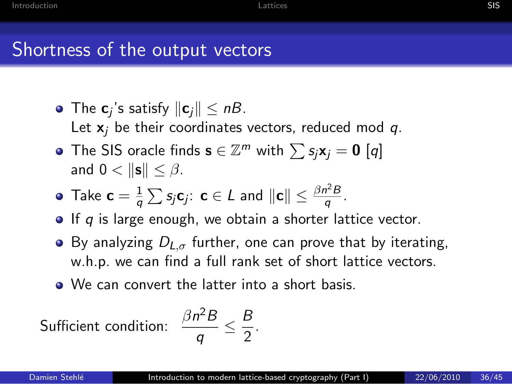- The  $\mathbf{c}_j$ 's satisfy  $\|\mathbf{c}_j\| \le nB$ . Let  $x_i$  be their coordinates vectors, reduced mod q.
- The SIS oracle finds  $\mathbf{s} \in \mathbb{Z}^m$  with  $\sum s_j \mathbf{x}_j = \mathbf{0} [q]$ and  $0 < ||\mathbf{s}|| < \beta$ .

• Take 
$$
\mathbf{c} = \frac{1}{q} \sum s_j \mathbf{c}_j
$$
:  $\mathbf{c} \in L$  and  $||\mathbf{c}|| \leq \frac{\beta n^2 B}{q}$ .

- $\bullet$  If q is large enough, we obtain a shorter lattice vector.
- By analyzing  $D_{L,\sigma}$  further, one can prove that by iterating, w.h.p. we can find a full rank set of short lattice vectors.

B  $\frac{2}{2}$ .

We can convert the latter into a short basis.

 $\frac{1}{q}$   $\leq$ 

Sufficient condition:  $\frac{\beta n^2 B}{a}$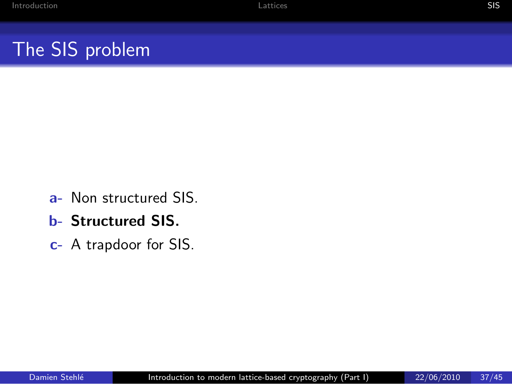## The SIS problem

- a- Non structured SIS.
- b- Structured SIS.
- c- A trapdoor for SIS.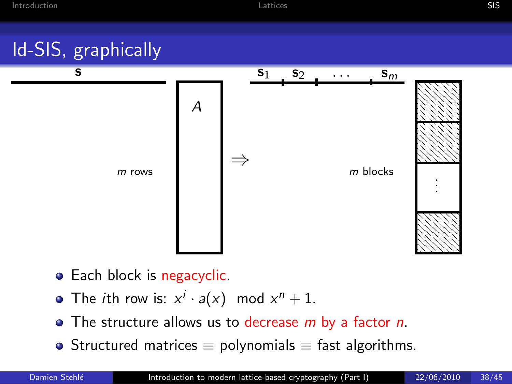## Id-SIS, graphically



- Each block is negacyclic.
- The *i*th row is:  $x^i \cdot a(x) \mod x^n + 1$ .
- $\bullet$  The structure allows us to decrease m by a factor n.
- Structured matrices  $\equiv$  polynomials  $\equiv$  fast algorithms.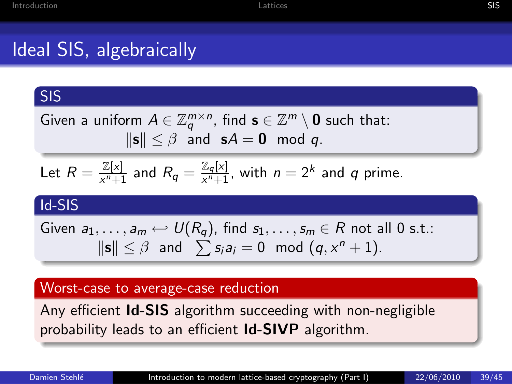#### SIS

Given a uniform  $A \in \mathbb{Z}_q^{m \times n}$ , find  $\mathbf{s} \in \mathbb{Z}^m \setminus \mathbf{0}$  such that:  $\|\mathbf{s}\| \leq \beta$  and  $\mathbf{s}A = \mathbf{0}$  mod q.

Let 
$$
R = \frac{\mathbb{Z}[x]}{x^n+1}
$$
 and  $R_q = \frac{\mathbb{Z}_q[x]}{x^n+1}$ , with  $n = 2^k$  and q prime.

#### Id-SIS

Given  $a_1, \ldots, a_m \hookleftarrow U(R_q)$ , find  $s_1, \ldots, s_m \in R$  not all 0 s.t.:  $\|\mathbf{s}\| \leq \beta$  and  $\sum s_i a_i = 0 \mod (q, x^n + 1)$ .

#### Worst-case to average-case reduction

Any efficient **Id-SIS** algorithm succeeding with non-negligible probability leads to an efficient Id-SIVP algorithm.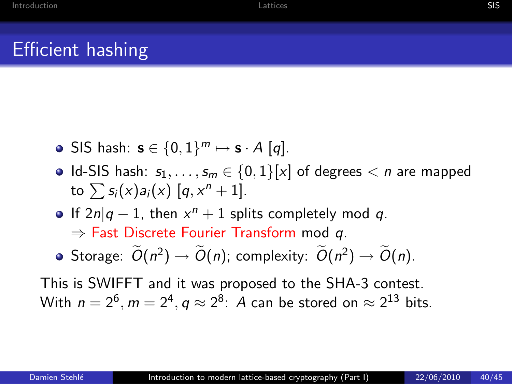### Efficient hashing

- SIS hash:  $\mathbf{s} \in \{0,1\}^m \mapsto \mathbf{s} \cdot A$  [q].
- Id-SIS hash:  $s_1, \ldots, s_m \in \{0,1\}[\times]$  of degrees  $\lt n$  are mapped to  $\sum s_i(x)a_i(x)$   $[q, x^n + 1]$ .
- If  $2n|q-1$ , then  $x^n + 1$  splits completely mod q.

 $\Rightarrow$  Fast Discrete Fourier Transform mod q.

Storage:  $\widetilde{O}(n^2) \rightarrow \widetilde{O}(n)$ ; complexity:  $\widetilde{O}(n^2) \rightarrow \widetilde{O}(n)$ .

This is SWIFFT and it was proposed to the SHA-3 contest. With  $n = 2^6$ ,  $m = 2^4$ ,  $q \approx 2^8$ : A can be stored on  $\approx 2^{13}$  bits.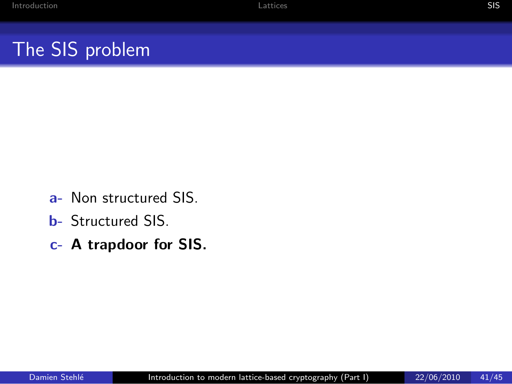## The SIS problem

- a- Non structured SIS.
- b- Structured SIS.
- c- A trapdoor for SIS.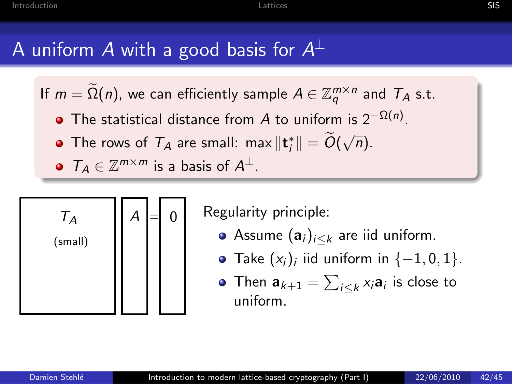## A uniform  $A$  with a good basis for  $A^\perp$

If  $m = \Omega(n)$ , we can efficiently sample  $A \in \mathbb{Z}_q^{m \times n}$  and  $T_A$  s.t.

- The statistical distance from A to uniform is  $2^{-\Omega(n)}$ .
- The rows of  $\mathcal{T}_A$  are small: max  $\|\mathbf{t}_i^*\| = \widetilde{O}(\sqrt{n}).$
- $T_A \in \mathbb{Z}^{m \times m}$  is a basis of  $A^{\perp}$ .



Regularity principle:

- Assume  $(a_i)_{i\leq k}$  are iid uniform.
- Take  $(x_i)_i$  iid uniform in  $\{-1,0,1\}$ .
- Then  $\mathbf{a}_{k+1} = \sum_{i \leq k} x_i \mathbf{a}_i$  is close to uniform.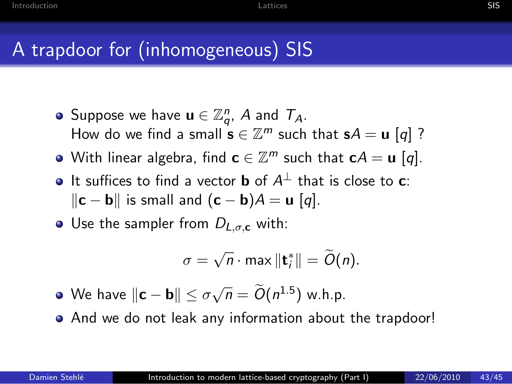## A trapdoor for (inhomogeneous) SIS

- Suppose we have  $\mathbf{u} \in \mathbb{Z}_q^n$ , A and  $\mathcal{T}_A$ . How do we find a small  $\mathbf{s} \in \mathbb{Z}^m$  such that  $\mathbf{s}A = \mathbf{u}$  [q] ?
- With linear algebra, find  $\mathbf{c} \in \mathbb{Z}^m$  such that  $\mathbf{c}A = \mathbf{u}$   $[q].$
- It suffices to find a vector **b** of  $A^{\perp}$  that is close to **c**:  $\|\mathbf{c} - \mathbf{b}\|$  is small and  $(\mathbf{c} - \mathbf{b})A = \mathbf{u}$  [q].
- Use the sampler from  $D_{L,\sigma,c}$  with:

$$
\sigma=\sqrt{n}\cdot\max\|\mathbf{t}_i^*\|=\widetilde{O}(n).
$$

- We have  $\Vert \mathbf{c} \mathbf{b} \Vert \leq \sigma \sqrt{n} = \widetilde{O}(n^{1.5})$  w.h.p.
- And we do not leak any information about the trapdoor!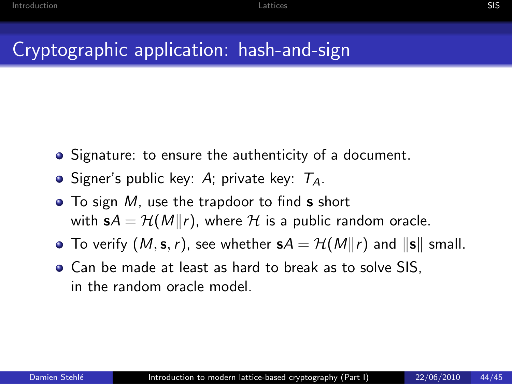## Cryptographic application: hash-and-sign

- Signature: to ensure the authenticity of a document.
- Signer's public key: A; private key:  $T_A$ .
- $\bullet$  To sign M, use the trapdoor to find **s** short with  $sA = H(M||r)$ , where H is a public random oracle.
- To verify  $(M, s, r)$ , see whether  $sA = H(M||r)$  and  $||s||$  small.
- Can be made at least as hard to break as to solve SIS, in the random oracle model.